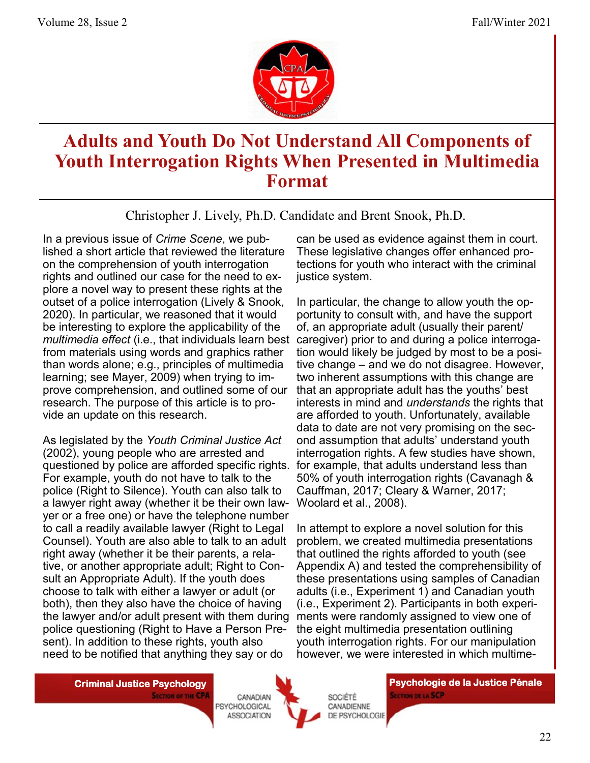

# **Adults and Youth Do Not Understand All Components of Youth Interrogation Rights When Presented in Multimedia Format**

Christopher J. Lively, Ph.D. Candidate and Brent Snook, Ph.D.

In a previous issue of *Crime Scene*, we published a short article that reviewed the literature on the comprehension of youth interrogation rights and outlined our case for the need to explore a novel way to present these rights at the outset of a police interrogation (Lively & Snook, 2020). In particular, we reasoned that it would be interesting to explore the applicability of the *multimedia effect* (i.e., that individuals learn best from materials using words and graphics rather than words alone; e.g., principles of multimedia learning; see Mayer, 2009) when trying to improve comprehension, and outlined some of our research. The purpose of this article is to provide an update on this research.

As legislated by the *Youth Criminal Justice Act* (2002), young people who are arrested and questioned by police are afforded specific rights. For example, youth do not have to talk to the police (Right to Silence). Youth can also talk to a lawyer right away (whether it be their own lawyer or a free one) or have the telephone number to call a readily available lawyer (Right to Legal Counsel). Youth are also able to talk to an adult right away (whether it be their parents, a relative, or another appropriate adult; Right to Consult an Appropriate Adult). If the youth does choose to talk with either a lawyer or adult (or both), then they also have the choice of having the lawyer and/or adult present with them during police questioning (Right to Have a Person Present). In addition to these rights, youth also need to be notified that anything they say or do

can be used as evidence against them in court. These legislative changes offer enhanced protections for youth who interact with the criminal justice system.

In particular, the change to allow youth the opportunity to consult with, and have the support of, an appropriate adult (usually their parent/ caregiver) prior to and during a police interrogation would likely be judged by most to be a positive change – and we do not disagree. However, two inherent assumptions with this change are that an appropriate adult has the youths' best interests in mind and *understands* the rights that are afforded to youth. Unfortunately, available data to date are not very promising on the second assumption that adults' understand youth interrogation rights. A few studies have shown, for example, that adults understand less than 50% of youth interrogation rights (Cavanagh & Cauffman, 2017; Cleary & Warner, 2017; Woolard et al., 2008).

In attempt to explore a novel solution for this problem, we created multimedia presentations that outlined the rights afforded to youth (see Appendix A) and tested the comprehensibility of these presentations using samples of Canadian adults (i.e., Experiment 1) and Canadian youth (i.e., Experiment 2). Participants in both experiments were randomly assigned to view one of the eight multimedia presentation outlining youth interrogation rights. For our manipulation however, we were interested in which multime-

**SECTION OF THE CPA** 

CANADIAN PSYCHOLOGICAL **ASSOCIATION** 



SOCIÉTÉ

CANADIENNE

**DE PSYCHOLOGIE** 

**Criminal Justice Psychology | Criminal Justice Pénale | Psychologie de la Justice Pénale | Psychologie de la Justice Pénale SECTION DE LA SCP**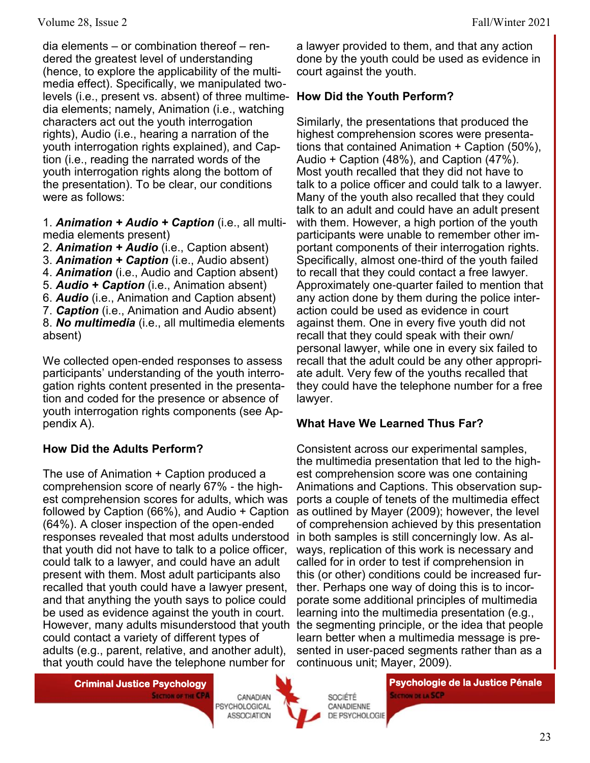dia elements – or combination thereof – rendered the greatest level of understanding (hence, to explore the applicability of the multimedia effect). Specifically, we manipulated twolevels (i.e., present vs. absent) of three multimedia elements; namely, Animation (i.e., watching characters act out the youth interrogation rights), Audio (i.e., hearing a narration of the youth interrogation rights explained), and Caption (i.e., reading the narrated words of the youth interrogation rights along the bottom of the presentation). To be clear, our conditions were as follows:

1. *Animation + Audio + Caption* (i.e., all multimedia elements present)

2. *Animation + Audio* (i.e., Caption absent)

3. *Animation + Caption* (i.e., Audio absent)

4. *Animation* (i.e., Audio and Caption absent)

- 5. *Audio + Caption* (i.e., Animation absent)
- 6. *Audio* (i.e., Animation and Caption absent)
- 7. *Caption* (i.e., Animation and Audio absent)

8. *No multimedia* (i.e., all multimedia elements absent)

We collected open-ended responses to assess participants' understanding of the youth interrogation rights content presented in the presentation and coded for the presence or absence of youth interrogation rights components (see Appendix A).

#### **How Did the Adults Perform?**

The use of Animation + Caption produced a comprehension score of nearly 67% - the highest comprehension scores for adults, which was followed by Caption (66%), and Audio + Caption (64%). A closer inspection of the open-ended responses revealed that most adults understood that youth did not have to talk to a police officer, could talk to a lawyer, and could have an adult present with them. Most adult participants also recalled that youth could have a lawyer present, and that anything the youth says to police could be used as evidence against the youth in court. could contact a variety of different types of adults (e.g., parent, relative, and another adult), that youth could have the telephone number for

**SECTION OF THE CPA** 

CANADIAN PSYCHOLOGICAL **ASSOCIATION** 



SOCIÉTÉ CANADIENNE DE PSYCHOLOGIE

**Criminal Justice Psychology | Criminal Justice Pénale | Psychologie de la Justice Pénale | Psychologie de la Justice Pénale | Psychologie de la Justice Pénale | Psychologie de la Justice Pénale | Psychologie de la Justice SECTION DE LA SCP** 

#### **How Did the Youth Perform?**

Similarly, the presentations that produced the highest comprehension scores were presentations that contained Animation + Caption (50%), Audio + Caption (48%), and Caption (47%). Most youth recalled that they did not have to talk to a police officer and could talk to a lawyer. Many of the youth also recalled that they could talk to an adult and could have an adult present with them. However, a high portion of the youth participants were unable to remember other important components of their interrogation rights. Specifically, almost one-third of the youth failed to recall that they could contact a free lawyer. Approximately one-quarter failed to mention that any action done by them during the police interaction could be used as evidence in court against them. One in every five youth did not recall that they could speak with their own/ personal lawyer, while one in every six failed to recall that the adult could be any other appropriate adult. Very few of the youths recalled that they could have the telephone number for a free lawyer.

#### **What Have We Learned Thus Far?**

However, many adults misunderstood that youth the segmenting principle, or the idea that people Consistent across our experimental samples, the multimedia presentation that led to the highest comprehension score was one containing Animations and Captions. This observation supports a couple of tenets of the multimedia effect as outlined by Mayer (2009); however, the level of comprehension achieved by this presentation in both samples is still concerningly low. As always, replication of this work is necessary and called for in order to test if comprehension in this (or other) conditions could be increased further. Perhaps one way of doing this is to incorporate some additional principles of multimedia learning into the multimedia presentation (e.g., learn better when a multimedia message is presented in user-paced segments rather than as a continuous unit; Mayer, 2009).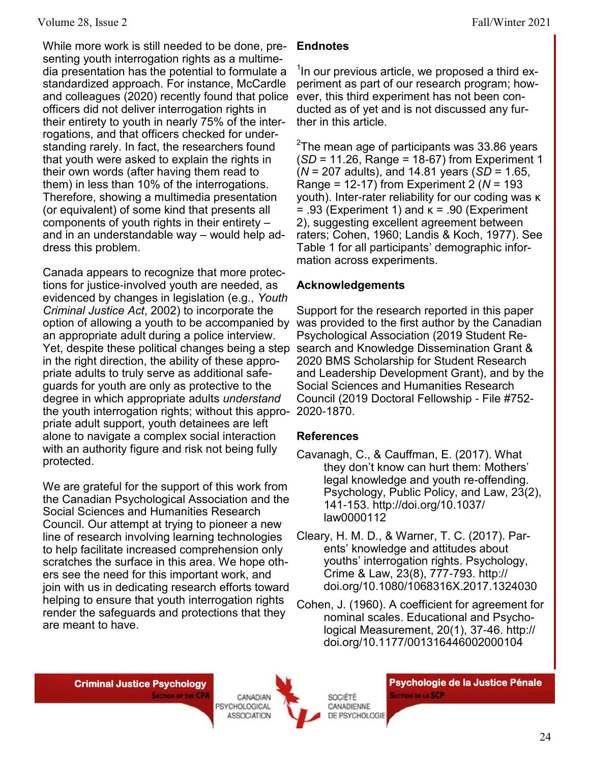While more work is still needed to be done, presenting youth interrogation rights as a multimedia presentation has the potential to formulate a standardized approach. For instance, McCardle and colleagues (2020) recently found that police officers did not deliver interrogation rights in their entirety to youth in nearly 75% of the interrogations, and that officers checked for understanding rarely. In fact, the researchers found that youth were asked to explain the rights in their own words (after having them read to them) in less than 10% of the interrogations. Therefore, showing a multimedia presentation (or equivalent) of some kind that presents all components of youth rights in their entirety – and in an understandable way – would help address this problem.

Canada appears to recognize that more protections for justice-involved youth are needed, as evidenced by changes in legislation (e.g., *Youth Criminal Justice Act*, 2002) to incorporate the option of allowing a youth to be accompanied by an appropriate adult during a police interview. Yet, despite these political changes being a step in the right direction, the ability of these appropriate adults to truly serve as additional safeguards for youth are only as protective to the degree in which appropriate adults *understand*  the youth interrogation rights; without this appro-2020-1870. priate adult support, youth detainees are left alone to navigate a complex social interaction with an authority figure and risk not being fully protected.

We are grateful for the support of this work from the Canadian Psychological Association and the Social Sciences and Humanities Research Council. Our attempt at trying to pioneer a new line of research involving learning technologies to help facilitate increased comprehension only scratches the surface in this area. We hope others see the need for this important work, and join with us in dedicating research efforts toward helping to ensure that youth interrogation rights render the safeguards and protections that they are meant to have.

#### **Endnotes**

 $1$ In our previous article, we proposed a third experiment as part of our research program; however, this third experiment has not been conducted as of yet and is not discussed any further in this article.

 $^{2}$ The mean age of participants was 33.86 years (*SD* = 11.26, Range = 18-67) from Experiment 1 (*N* = 207 adults), and 14.81 years (*SD* = 1.65, Range = 12-17) from Experiment 2 (*N* = 193 youth). Inter-rater reliability for our coding was κ  $= .93$  (Experiment 1) and  $\kappa = .90$  (Experiment 2), suggesting excellent agreement between raters; Cohen, 1960; Landis & Koch, 1977). See Table 1 for all participants' demographic information across experiments.

# **Acknowledgements**

Support for the research reported in this paper was provided to the first author by the Canadian Psychological Association (2019 Student Research and Knowledge Dissemination Grant & 2020 BMS Scholarship for Student Research and Leadership Development Grant), and by the Social Sciences and Humanities Research Council (2019 Doctoral Fellowship - File #752-

#### **References**

- Cavanagh, C., & Cauffman, E. (2017). What they don't know can hurt them: Mothers' legal knowledge and youth re-offending. Psychology, Public Policy, and Law, 23(2), 141-153. http://doi.org/10.1037/ law0000112
- Cleary, H. M. D., & Warner, T. C. (2017). Parents' knowledge and attitudes about youths' interrogation rights. Psychology, Crime & Law, 23(8), 777-793. http:// doi.org/10.1080/1068316X.2017.1324030
- Cohen, J. (1960). A coefficient for agreement for nominal scales. Educational and Psychological Measurement, 20(1), 37-46. http:// doi.org/10.1177/001316446002000104

**SECTION OF THE CPA** 

CANADIAN PSYCHOLOGICAL **ASSOCIATION** 



**Criminal Justice Psychology | Criminal Justice Pénale | Psychologie de la Justice Pénale | Psychologie de la Justice Pénale SECTION DE LA SCP**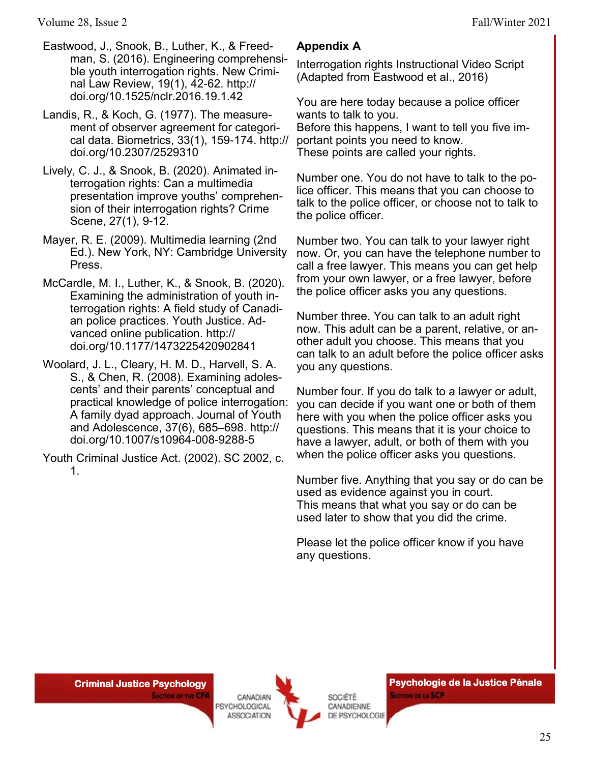Volume 28, Issue 2 Fall/Winter 2021

- Eastwood, J., Snook, B., Luther, K., & Freedman, S. (2016). Engineering comprehensible youth interrogation rights. New Criminal Law Review, 19(1), 42-62. http:// doi.org/10.1525/nclr.2016.19.1.42
- Landis, R., & Koch, G. (1977). The measurement of observer agreement for categorical data. Biometrics, 33(1), 159-174. http:// doi.org/10.2307/2529310
- Lively, C. J., & Snook, B. (2020). Animated interrogation rights: Can a multimedia presentation improve youths' comprehension of their interrogation rights? Crime Scene, 27(1), 9-12.
- Mayer, R. E. (2009). Multimedia learning (2nd Ed.). New York, NY: Cambridge University Press.
- McCardle, M. I., Luther, K., & Snook, B. (2020). Examining the administration of youth interrogation rights: A field study of Canadian police practices. Youth Justice. Advanced online publication. http:// doi.org/10.1177/1473225420902841
- Woolard, J. L., Cleary, H. M. D., Harvell, S. A. S., & Chen, R. (2008). Examining adolescents' and their parents' conceptual and practical knowledge of police interrogation: A family dyad approach. Journal of Youth and Adolescence, 37(6), 685–698. http:// doi.org/10.1007/s10964-008-9288-5
- Youth Criminal Justice Act. (2002). SC 2002, c. 1.

### **Appendix A**

Interrogation rights Instructional Video Script (Adapted from Eastwood et al., 2016)

You are here today because a police officer wants to talk to you. Before this happens, I want to tell you five important points you need to know. These points are called your rights.

Number one. You do not have to talk to the police officer. This means that you can choose to talk to the police officer, or choose not to talk to the police officer.

Number two. You can talk to your lawyer right now. Or, you can have the telephone number to call a free lawyer. This means you can get help from your own lawyer, or a free lawyer, before the police officer asks you any questions.

Number three. You can talk to an adult right now. This adult can be a parent, relative, or another adult you choose. This means that you can talk to an adult before the police officer asks you any questions.

Number four. If you do talk to a lawyer or adult, you can decide if you want one or both of them here with you when the police officer asks you questions. This means that it is your choice to have a lawyer, adult, or both of them with you when the police officer asks you questions.

Number five. Anything that you say or do can be used as evidence against you in court. This means that what you say or do can be used later to show that you did the crime.

Please let the police officer know if you have any questions.

**SECTION OF THE CPA** 

CANADIAN PSYCHOLOGICAL **ASSOCIATION** 



**Criminal Justice Psychology | Criminal Justice Pénale | Psychologie de la Justice Pénale | Psychologie de la Justice Pénale | Psychologie de la Justice Pénale | Psychologie de la Justice Pénale | Psychologie de la Justice SECTION DE LA SCP**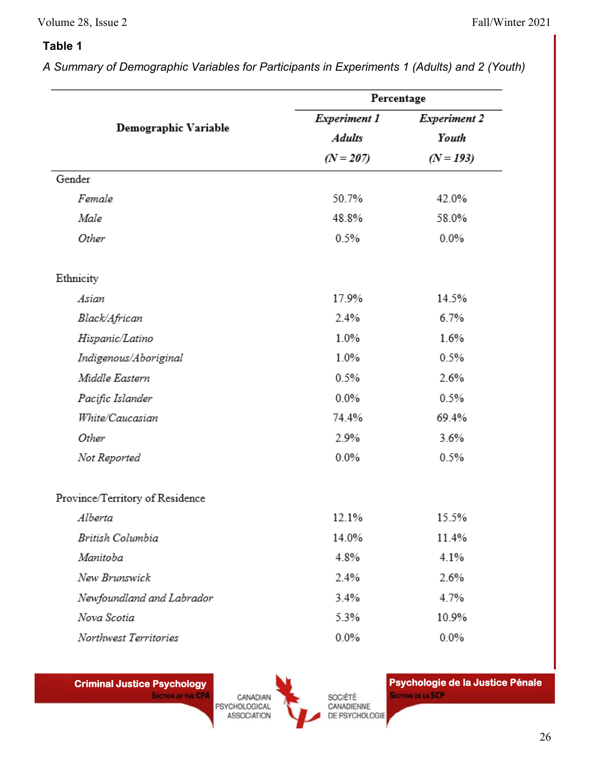#### Volume 28, Issue 2 Fall/Winter 2021

# **Table 1**

*A Summary of Demographic Variables for Participants in Experiments 1 (Adults) and 2 (Youth)*

| Demographic Variable            | Percentage                                   |                                             |        |       |       |
|---------------------------------|----------------------------------------------|---------------------------------------------|--------|-------|-------|
|                                 | Experiment 1<br><b>Adults</b><br>$(N = 207)$ | <b>Experiment 2</b><br>Youth<br>$(N = 193)$ |        |       |       |
|                                 |                                              |                                             | Gender |       |       |
|                                 |                                              |                                             | Female | 50.7% | 42.0% |
| Male                            | 48.8%                                        | 58.0%                                       |        |       |       |
| Other                           | 0.5%                                         | $0.0\%$                                     |        |       |       |
| Ethnicity                       |                                              |                                             |        |       |       |
| Asian                           | 17.9%                                        | 14.5%                                       |        |       |       |
| Black/African                   | 2.4%                                         | 6.7%                                        |        |       |       |
| Hispanic/Latino                 | 1.0%                                         | 1.6%                                        |        |       |       |
| Indigenous/Aboriginal           | 1.0%                                         | 0.5%                                        |        |       |       |
| Middle Eastern                  | 0.5%                                         | 2.6%                                        |        |       |       |
| Pacific Islander                | 0.0%                                         | 0.5%                                        |        |       |       |
| White/Caucasian                 | 74.4%                                        | 69.4%                                       |        |       |       |
| Other                           | 2.9%                                         | 3.6%                                        |        |       |       |
| Not Reported                    | $0.0\%$                                      | 0.5%                                        |        |       |       |
| Province/Territory of Residence |                                              |                                             |        |       |       |
| Alberta                         | 12.1%                                        | 15.5%                                       |        |       |       |
| British Columbia                | 14.0%                                        | 11.4%                                       |        |       |       |
| Manitoba                        | 4.8%                                         | 4.1%                                        |        |       |       |
| New Brunswick                   | 2.4%                                         | 2.6%                                        |        |       |       |
| Newfoundland and Labrador       | 3.4%                                         | 4.7%                                        |        |       |       |
| Nova Scotia                     | 5.3%                                         | 10.9%                                       |        |       |       |
| Northwest Territories           | $0.0\%$                                      | $0.0\%$                                     |        |       |       |
|                                 |                                              |                                             |        |       |       |

**SECTION OF THE CPA** CANADIAN PSYCHOLOGICAL ASSOCIATION

SOCIÉTÉ CANADIENNE DE PSYCHOLOGIE

**Criminal Justice Psychology | Psychologie de la Justice Pénale | Psychologie de la Justice Pénale SECTION DE LA SCP**